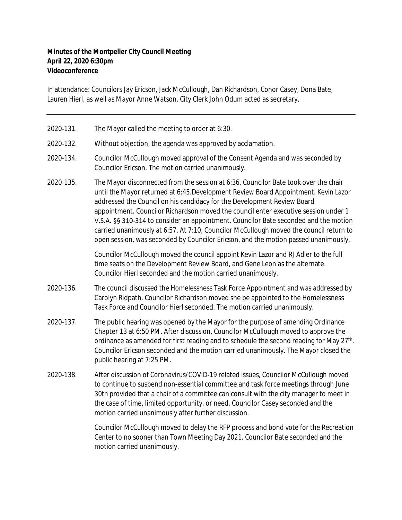## **Minutes of the Montpelier City Council Meeting April 22, 2020 6:30pm Videoconference**

In attendance: Councilors Jay Ericson, Jack McCullough, Dan Richardson, Conor Casey, Dona Bate, Lauren Hierl, as well as Mayor Anne Watson. City Clerk John Odum acted as secretary.

- 2020-131. The Mayor called the meeting to order at 6:30.
- 2020-132. Without objection, the agenda was approved by acclamation.
- 2020-134. Councilor McCullough moved approval of the Consent Agenda and was seconded by Councilor Ericson. The motion carried unanimously.
- 2020-135. The Mayor disconnected from the session at 6:36. Councilor Bate took over the chair until the Mayor returned at 6:45.Development Review Board Appointment. Kevin Lazor addressed the Council on his candidacy for the Development Review Board appointment. Councilor Richardson moved the council enter executive session under 1 V.S.A. §§ 310-314 to consider an appointment. Councilor Bate seconded and the motion carried unanimously at 6:57. At 7:10, Councilor McCullough moved the council return to open session, was seconded by Councilor Ericson, and the motion passed unanimously.

Councilor McCullough moved the council appoint Kevin Lazor and RJ Adler to the full time seats on the Development Review Board, and Gene Leon as the alternate. Councilor Hierl seconded and the motion carried unanimously.

- 2020-136. The council discussed the Homelessness Task Force Appointment and was addressed by Carolyn Ridpath. Councilor Richardson moved she be appointed to the Homelessness Task Force and Councilor Hierl seconded. The motion carried unanimously.
- 2020-137. The public hearing was opened by the Mayor for the purpose of amending Ordinance Chapter 13 at 6:50 PM. After discussion, Councilor McCullough moved to approve the ordinance as amended for first reading and to schedule the second reading for May 27<sup>th</sup>. Councilor Ericson seconded and the motion carried unanimously. The Mayor closed the public hearing at 7:25 PM.
- 2020-138. After discussion of Coronavirus/COVID-19 related issues, Councilor McCullough moved to continue to suspend non-essential committee and task force meetings through June 30th provided that a chair of a committee can consult with the city manager to meet in the case of time, limited opportunity, or need. Councilor Casey seconded and the motion carried unanimously after further discussion.

Councilor McCullough moved to delay the RFP process and bond vote for the Recreation Center to no sooner than Town Meeting Day 2021. Councilor Bate seconded and the motion carried unanimously.